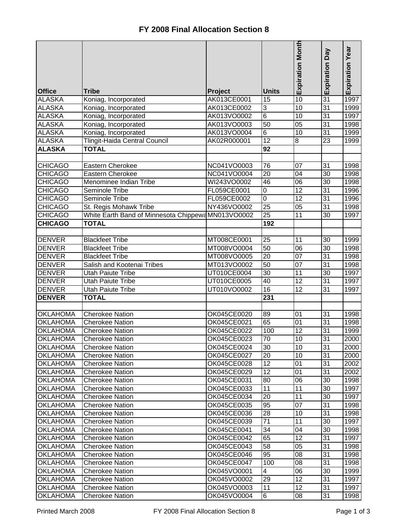|                 |                                                    |             |                         | <b>Expiration Month</b> | Veq<br>Expiration | Expiration Year |
|-----------------|----------------------------------------------------|-------------|-------------------------|-------------------------|-------------------|-----------------|
| <b>Office</b>   | <b>Tribe</b>                                       | Project     | <b>Units</b>            |                         |                   |                 |
| <b>ALASKA</b>   | Koniag, Incorporated                               | AK013CE0001 | 15                      | 10                      | 31                | 1997            |
| <b>ALASKA</b>   | Koniag, Incorporated                               | AK013CE0002 | $\sqrt{3}$              | 10                      | 31                | 1999            |
| <b>ALASKA</b>   | Koniag, Incorporated                               | AK013VO0002 | 6                       | $\overline{10}$         | $\overline{31}$   | 1997            |
| <b>ALASKA</b>   | Koniag, Incorporated                               | AK013VO0003 | 50                      | $\overline{05}$         | 31                | 1998            |
| <b>ALASKA</b>   | Koniag, Incorporated                               | AK013VO0004 | 6                       | 10                      | 31                | 1999            |
| <b>ALASKA</b>   | Tlingit-Haida Central Council                      | AK02R000001 | 12                      | 8                       | $\overline{23}$   | 1999            |
| <b>ALASKA</b>   | <b>TOTAL</b>                                       |             | 92                      |                         |                   |                 |
|                 |                                                    |             |                         |                         |                   |                 |
| <b>CHICAGO</b>  | Eastern Cherokee                                   | NC041VO0003 | 76                      | $\overline{07}$         | 31                | 1998            |
| <b>CHICAGO</b>  | <b>Eastern Cherokee</b>                            | NC041VO0004 | $\overline{20}$         | $\overline{04}$         | 30                | 1998            |
| <b>CHICAGO</b>  | Menominee Indian Tribe                             | WI243VO0002 | 46                      | $\overline{06}$         | $\overline{30}$   | 1998            |
| <b>CHICAGO</b>  | Seminole Tribe                                     | FL059CE0001 | $\overline{0}$          | $\overline{12}$         | 31                | 1996            |
| <b>CHICAGO</b>  | Seminole Tribe                                     | FL059CE0002 | $\overline{0}$          | $\overline{12}$         | $\overline{31}$   | 1996            |
| <b>CHICAGO</b>  | St. Regis Mohawk Tribe                             | NY436VO0002 | 25                      | $\overline{05}$         | $\overline{31}$   | 1998            |
| <b>CHICAGO</b>  | White Earth Band of Minnesota Chippewa MN013VO0002 |             | 25                      | $\overline{11}$         | 30                | 1997            |
| <b>CHICAGO</b>  | <b>TOTAL</b>                                       |             | 192                     |                         |                   |                 |
|                 |                                                    |             |                         |                         |                   |                 |
| <b>DENVER</b>   | <b>Blackfeet Tribe</b>                             | MT008CE0001 | 25                      | 11                      | 30                | 1999            |
| <b>DENVER</b>   | <b>Blackfeet Tribe</b>                             | MT008VO0004 | 50                      | 06                      | 30                | 1998            |
| <b>DENVER</b>   | <b>Blackfeet Tribe</b>                             | MT008VO0005 | $\overline{20}$         | 07                      | 31                | 1998            |
| <b>DENVER</b>   | Salish and Kootenai Tribes                         | MT013VO0002 | 50                      | $\overline{07}$         | 31                | 1998            |
| <b>DENVER</b>   | <b>Utah Paiute Tribe</b>                           | UT010CE0004 | 30                      | $\overline{11}$         | 30                | 1997            |
| <b>DENVER</b>   | <b>Utah Paiute Tribe</b>                           | UT010CE0005 | 40                      | 12                      | $\overline{31}$   | 1997            |
| <b>DENVER</b>   | <b>Utah Paiute Tribe</b>                           | UT010VO0002 | 16                      | $\overline{12}$         | $\overline{31}$   | 1997            |
| <b>DENVER</b>   | <b>TOTAL</b>                                       |             | 231                     |                         |                   |                 |
| <b>OKLAHOMA</b> | <b>Cherokee Nation</b>                             | OK045CE0020 | 89                      | 01                      | 31                | 1998            |
| <b>OKLAHOMA</b> | <b>Cherokee Nation</b>                             | OK045CE0021 | 65                      | 01                      | 31                | 1998            |
| <b>OKLAHOMA</b> | <b>Cherokee Nation</b>                             | OK045CE0022 | 100                     | 12                      | 31                | 1999            |
| <b>OKLAHOMA</b> | <b>Cherokee Nation</b>                             | OK045CE0023 | 70                      | 10                      | 31                | 2000            |
| <b>OKLAHOMA</b> | <b>Cherokee Nation</b>                             | OK045CE0024 | 30                      | 10                      | 31                | 2000            |
| <b>OKLAHOMA</b> | <b>Cherokee Nation</b>                             | OK045CE0027 | 20                      | 10                      | 31                | 2000            |
| <b>OKLAHOMA</b> | <b>Cherokee Nation</b>                             | OK045CE0028 | 12                      | 01                      | 31                | 2002            |
| <b>OKLAHOMA</b> | <b>Cherokee Nation</b>                             | OK045CE0029 | 12                      | 01                      | 31                | 2002            |
| <b>OKLAHOMA</b> | <b>Cherokee Nation</b>                             | OK045CE0031 | 80                      | 06                      | 30                | 1998            |
| <b>OKLAHOMA</b> | <b>Cherokee Nation</b>                             | OK045CE0033 | 11                      | 11                      | 30                | 1997            |
| <b>OKLAHOMA</b> | <b>Cherokee Nation</b>                             | OK045CE0034 | 20                      | 11                      | 30                | 1997            |
| <b>OKLAHOMA</b> | <b>Cherokee Nation</b>                             | OK045CE0035 | 95                      | $\overline{07}$         | 31                | 1998            |
| <b>OKLAHOMA</b> | <b>Cherokee Nation</b>                             | OK045CE0036 | 28                      | 10                      | 31                | 1998            |
| <b>OKLAHOMA</b> | <b>Cherokee Nation</b>                             | OK045CE0039 | 71                      | $\overline{11}$         | 30                | 1997            |
| <b>OKLAHOMA</b> | <b>Cherokee Nation</b>                             | OK045CE0041 | 34                      | 04                      | 30                | 1998            |
| <b>OKLAHOMA</b> | Cherokee Nation                                    | OK045CE0042 | 65                      | $\overline{12}$         | 31                | 1997            |
| <b>OKLAHOMA</b> | <b>Cherokee Nation</b>                             | OK045CE0043 | 58                      | 05                      | 31                | 1998            |
| <b>OKLAHOMA</b> | <b>Cherokee Nation</b>                             | OK045CE0046 | 95                      | 08                      | 31                | 1998            |
| <b>OKLAHOMA</b> | <b>Cherokee Nation</b>                             | OK045CE0047 | 100                     | 08                      | 31                | 1998            |
| <b>OKLAHOMA</b> | <b>Cherokee Nation</b>                             | OK045VO0001 | $\overline{\mathbf{4}}$ | 06                      | 30                | 1999            |
| <b>OKLAHOMA</b> | <b>Cherokee Nation</b>                             | OK045VO0002 | 29                      | 12                      | 31                | 1997            |
| <b>OKLAHOMA</b> | <b>Cherokee Nation</b>                             | OK045VO0003 | 11                      | 12                      | 31                | 1997            |
| <b>OKLAHOMA</b> | Cherokee Nation                                    | OK045VO0004 | $6\overline{6}$         | 08                      | 31                | 1998            |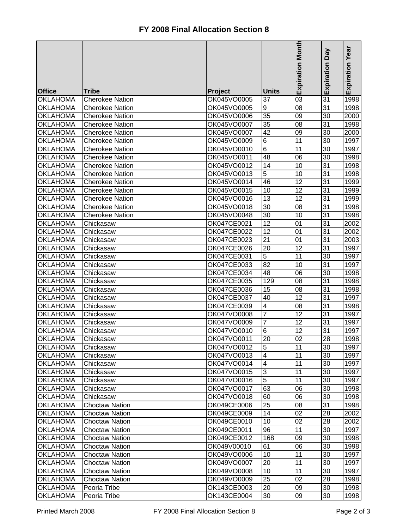|                 |                        |             |                         | Expiration Month | Veq             |                 |
|-----------------|------------------------|-------------|-------------------------|------------------|-----------------|-----------------|
|                 |                        |             |                         |                  | Expiration      | Expiration Year |
| <b>Office</b>   | <b>Tribe</b>           | Project     | <b>Units</b>            |                  |                 |                 |
| <b>OKLAHOMA</b> | <b>Cherokee Nation</b> | OK045VO0005 | 37                      | $\overline{03}$  | 31              | 1998            |
| <b>OKLAHOMA</b> | <b>Cherokee Nation</b> | OK045VO0005 | 9                       | 08               | 31              | 1998            |
| <b>OKLAHOMA</b> | <b>Cherokee Nation</b> | OK045VO0006 | 35                      | 09               | 30              | 2000            |
| <b>OKLAHOMA</b> | <b>Cherokee Nation</b> | OK045VO0007 | 35                      | 08               | 31              | 1998            |
| <b>OKLAHOMA</b> | <b>Cherokee Nation</b> | OK045VO0007 | $\overline{42}$         | 09               | 30              | 2000            |
| <b>OKLAHOMA</b> | <b>Cherokee Nation</b> | OK045VO0009 | $6\phantom{1}6$         | 11               | 30              | 1997            |
| <b>OKLAHOMA</b> | <b>Cherokee Nation</b> | OK045VO0010 | 6                       | 11               | $\overline{30}$ | 1997            |
| <b>OKLAHOMA</b> | <b>Cherokee Nation</b> | OK045VO0011 | 48                      | 06               | 30              | 1998            |
| <b>OKLAHOMA</b> | <b>Cherokee Nation</b> | OK045VO0012 | 14                      | 10               | $\overline{31}$ | 1998            |
| <b>OKLAHOMA</b> | <b>Cherokee Nation</b> | OK045VO0013 | 5                       | 10               | $\overline{31}$ | 1998            |
| <b>OKLAHOMA</b> | <b>Cherokee Nation</b> | OK045VO0014 | 46                      | $\overline{12}$  | $\overline{31}$ | 1999            |
| <b>OKLAHOMA</b> | <b>Cherokee Nation</b> | OK045VO0015 | 10                      | 12               | 31              | 1999            |
| <b>OKLAHOMA</b> | <b>Cherokee Nation</b> | OK045VO0016 | 13                      | 12               | $\overline{31}$ | 1999            |
| <b>OKLAHOMA</b> | <b>Cherokee Nation</b> | OK045VO0018 | 30                      | 08               | 31              | 1998            |
| <b>OKLAHOMA</b> | <b>Cherokee Nation</b> | OK045VO0048 | 30                      | 10               | 31              | 1998            |
| <b>OKLAHOMA</b> | Chickasaw              | OK047CE0021 | 12                      | 01               | 31              | 2002            |
| <b>OKLAHOMA</b> | Chickasaw              | OK047CE0022 | $\overline{12}$         | 01               | 31              | 2002            |
| <b>OKLAHOMA</b> | Chickasaw              | OK047CE0023 | $\overline{21}$         | 01               | $\overline{31}$ | 2003            |
| <b>OKLAHOMA</b> | Chickasaw              | OK047CE0026 | 20                      | $\overline{12}$  | $\overline{31}$ | 1997            |
| <b>OKLAHOMA</b> | Chickasaw              | OK047CE0031 | $\overline{5}$          | 11               | 30              | 1997            |
| OKLAHOMA        | Chickasaw              | OK047CE0033 | 82                      | 10               | 31              | 1997            |
| <b>OKLAHOMA</b> | Chickasaw              | OK047CE0034 | 48                      | 06               | 30              | 1998            |
| <b>OKLAHOMA</b> | Chickasaw              | OK047CE0035 | 129                     | 08               | 31              | 1998            |
| <b>OKLAHOMA</b> | Chickasaw              | OK047CE0036 | 15                      | 08               | 31              | 1998            |
| <b>OKLAHOMA</b> | Chickasaw              | OK047CE0037 | 40                      | 12               | 31              | 1997            |
| <b>OKLAHOMA</b> | Chickasaw              | OK047CE0039 | 4                       | 08               | 31              | 1998            |
| <b>OKLAHOMA</b> | Chickasaw              | OK047VO0008 | 7                       | 12               | 31              | 1997            |
| <b>OKLAHOMA</b> | Chickasaw              | OK047VO0009 | $\overline{7}$          | 12               | 31              | 1997            |
| <b>OKLAHOMA</b> | Chickasaw              | OK047VO0010 | 6                       | 12               | 31              | 1997            |
| <b>OKLAHOMA</b> | Chickasaw              | OK047VO0011 | 20                      | 02               | 28              | 1998            |
| <b>OKLAHOMA</b> | Chickasaw              | OK047VO0012 | 5                       | 11               | 30              | 1997            |
| <b>OKLAHOMA</b> | Chickasaw              | OK047VO0013 | $\overline{4}$          | 11               | 30              | 1997            |
| <b>OKLAHOMA</b> | Chickasaw              | OK047VO0014 | $\overline{\mathbf{4}}$ | 11               | 30              | 1997            |
| <b>OKLAHOMA</b> | Chickasaw              | OK047VO0015 | 3                       | 11               | 30              | 1997            |
| <b>OKLAHOMA</b> | Chickasaw              | OK047VO0016 | 5                       | 11               | 30              | 1997            |
| <b>OKLAHOMA</b> | Chickasaw              | OK047VO0017 | 63                      | 06               | 30              | 1998            |
| <b>OKLAHOMA</b> | Chickasaw              | OK047VO0018 | 60                      | 06               | 30              | 1998            |
| <b>OKLAHOMA</b> | <b>Choctaw Nation</b>  | OK049CE0006 | 25                      | $\overline{08}$  | 31              | 1998            |
| <b>OKLAHOMA</b> | <b>Choctaw Nation</b>  | OK049CE0009 | 14                      | $\overline{02}$  | 28              | 2002            |
| <b>OKLAHOMA</b> | <b>Choctaw Nation</b>  | OK049CE0010 | 10                      | $\overline{02}$  | 28              | 2002            |
| <b>OKLAHOMA</b> | <b>Choctaw Nation</b>  | OK049CE0011 | 96                      | 11               | 30              | 1997            |
| <b>OKLAHOMA</b> | <b>Choctaw Nation</b>  | OK049CE0012 | 168                     | 09               | 30              | 1998            |
| <b>OKLAHOMA</b> | <b>Choctaw Nation</b>  | OK049V00010 | 61                      | 06               | 30              | 1998            |
| <b>OKLAHOMA</b> | <b>Choctaw Nation</b>  | OK049VO0006 | 10                      | 11               | 30              | 1997            |
| <b>OKLAHOMA</b> | <b>Choctaw Nation</b>  | OK049VO0007 | 20                      | 11               | 30              | 1997            |
| <b>OKLAHOMA</b> | <b>Choctaw Nation</b>  | OK049VO0008 | 10                      | 11               | 30              | 1997            |
| <b>OKLAHOMA</b> | <b>Choctaw Nation</b>  | OK049VO0009 | 25                      | 02               | 28              | 1998            |
| <b>OKLAHOMA</b> | Peoria Tribe           | OK143CE0003 | 20                      | 09               | 30              | 1998            |
| <b>OKLAHOMA</b> | Peoria Tribe           | OK143CE0004 | 30                      | 09               | 30              | 1998            |